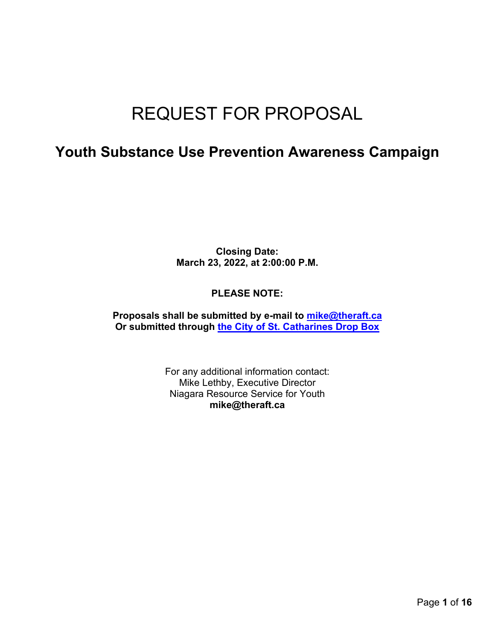# REQUEST FOR PROPOSAL

### **Youth Substance Use Prevention Awareness Campaign**

**Closing Date: March 23, 2022, at 2:00:00 P.M.**

#### **PLEASE NOTE:**

**Proposals shall be submitted by e-mail to [mike@theraft.ca](mailto:mike@theraft.ca) Or submitted through [the City of St. Catharines Drop Box](http://dropbox.stcatharines.ca/dropbox/uploadfile.aspx)**

> For any additional information contact: Mike Lethby, Executive Director Niagara Resource Service for Youth **mike@theraft.ca**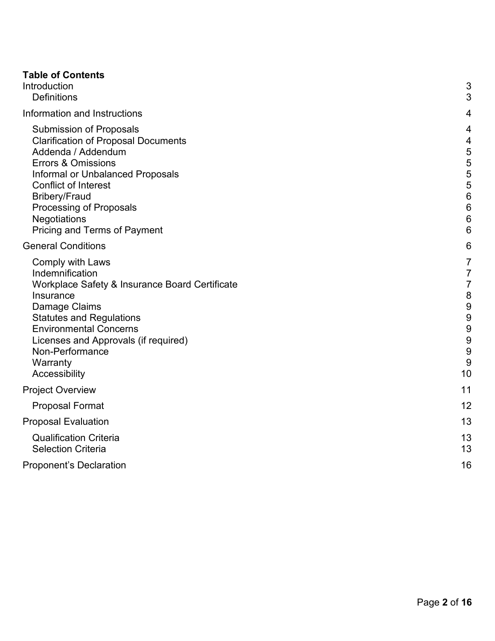| <b>Table of Contents</b>                                                                                                                                                                                                                                                                                                |                                                                                                            |
|-------------------------------------------------------------------------------------------------------------------------------------------------------------------------------------------------------------------------------------------------------------------------------------------------------------------------|------------------------------------------------------------------------------------------------------------|
| Introduction                                                                                                                                                                                                                                                                                                            | 3                                                                                                          |
| <b>Definitions</b>                                                                                                                                                                                                                                                                                                      | 3                                                                                                          |
| Information and Instructions                                                                                                                                                                                                                                                                                            | 4                                                                                                          |
| <b>Submission of Proposals</b><br><b>Clarification of Proposal Documents</b><br>Addenda / Addendum<br><b>Errors &amp; Omissions</b><br>Informal or Unbalanced Proposals<br><b>Conflict of Interest</b><br><b>Bribery/Fraud</b><br><b>Processing of Proposals</b><br><b>Negotiations</b><br>Pricing and Terms of Payment | 4<br>4<br>5<br>5<br>5<br>5<br>$6\phantom{1}6$<br>$6\phantom{1}6$<br>$6\phantom{1}6$<br>6                   |
| <b>General Conditions</b>                                                                                                                                                                                                                                                                                               | 6                                                                                                          |
| <b>Comply with Laws</b><br>Indemnification<br>Workplace Safety & Insurance Board Certificate<br>Insurance<br>Damage Claims<br><b>Statutes and Regulations</b><br><b>Environmental Concerns</b><br>Licenses and Approvals (if required)<br>Non-Performance<br>Warranty<br>Accessibility                                  | $\overline{7}$<br>$\overline{7}$<br>$\overline{7}$<br>$\boldsymbol{8}$<br>9<br>9<br>9<br>9<br>9<br>9<br>10 |
| <b>Project Overview</b>                                                                                                                                                                                                                                                                                                 | 11                                                                                                         |
| <b>Proposal Format</b>                                                                                                                                                                                                                                                                                                  | 12                                                                                                         |
| <b>Proposal Evaluation</b>                                                                                                                                                                                                                                                                                              | 13                                                                                                         |
| <b>Qualification Criteria</b><br><b>Selection Criteria</b>                                                                                                                                                                                                                                                              | 13<br>13                                                                                                   |
| <b>Proponent's Declaration</b>                                                                                                                                                                                                                                                                                          | 16                                                                                                         |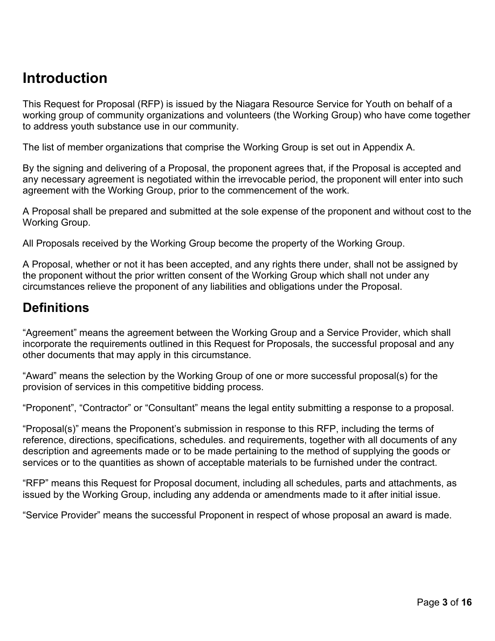## <span id="page-2-0"></span>**Introduction**

This Request for Proposal (RFP) is issued by the Niagara Resource Service for Youth on behalf of a working group of community organizations and volunteers (the Working Group) who have come together to address youth substance use in our community.

The list of member organizations that comprise the Working Group is set out in Appendix A.

By the signing and delivering of a Proposal, the proponent agrees that, if the Proposal is accepted and any necessary agreement is negotiated within the irrevocable period, the proponent will enter into such agreement with the Working Group, prior to the commencement of the work.

A Proposal shall be prepared and submitted at the sole expense of the proponent and without cost to the Working Group.

All Proposals received by the Working Group become the property of the Working Group.

A Proposal, whether or not it has been accepted, and any rights there under, shall not be assigned by the proponent without the prior written consent of the Working Group which shall not under any circumstances relieve the proponent of any liabilities and obligations under the Proposal.

### <span id="page-2-1"></span>**Definitions**

"Agreement" means the agreement between the Working Group and a Service Provider, which shall incorporate the requirements outlined in this Request for Proposals, the successful proposal and any other documents that may apply in this circumstance.

"Award" means the selection by the Working Group of one or more successful proposal(s) for the provision of services in this competitive bidding process.

"Proponent", "Contractor" or "Consultant" means the legal entity submitting a response to a proposal.

"Proposal(s)" means the Proponent's submission in response to this RFP, including the terms of reference, directions, specifications, schedules. and requirements, together with all documents of any description and agreements made or to be made pertaining to the method of supplying the goods or services or to the quantities as shown of acceptable materials to be furnished under the contract.

"RFP" means this Request for Proposal document, including all schedules, parts and attachments, as issued by the Working Group, including any addenda or amendments made to it after initial issue.

"Service Provider" means the successful Proponent in respect of whose proposal an award is made.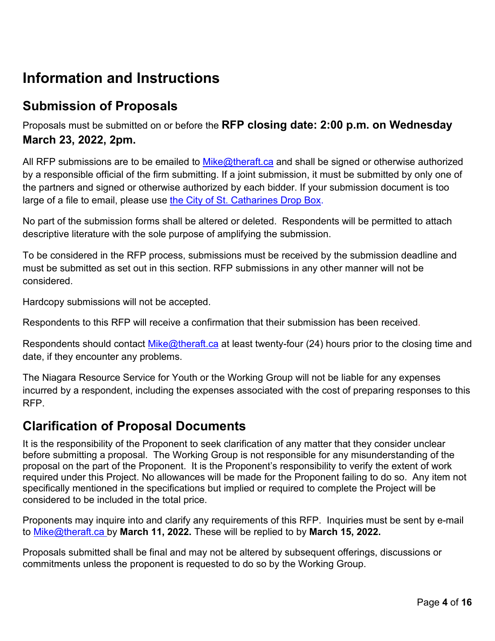## <span id="page-3-0"></span>**Information and Instructions**

### <span id="page-3-1"></span>**Submission of Proposals**

Proposals must be submitted on or before the **RFP closing date: 2:00 p.m. on Wednesday March 23, 2022, 2pm.**

All RFP submissions are to be emailed to [Mike@theraft.ca](mailto:Mike@theraft.ca) and shall be signed or otherwise authorized by a responsible official of the firm submitting. If a joint submission, it must be submitted by only one of the partners and signed or otherwise authorized by each bidder. If your submission document is too large of a file to email, please use [the City of St. Catharines Drop Box.](http://dropbox.stcatharines.ca/dropbox/uploadfile.aspx)

No part of the submission forms shall be altered or deleted. Respondents will be permitted to attach descriptive literature with the sole purpose of amplifying the submission.

To be considered in the RFP process, submissions must be received by the submission deadline and must be submitted as set out in this section. RFP submissions in any other manner will not be considered.

Hardcopy submissions will not be accepted.

Respondents to this RFP will receive a confirmation that their submission has been received.

Respondents should contact [Mike@theraft.ca](mailto:Mike@theraft.ca) at least twenty-four (24) hours prior to the closing time and date, if they encounter any problems.

The Niagara Resource Service for Youth or the Working Group will not be liable for any expenses incurred by a respondent, including the expenses associated with the cost of preparing responses to this RFP.

### <span id="page-3-2"></span>**Clarification of Proposal Documents**

It is the responsibility of the Proponent to seek clarification of any matter that they consider unclear before submitting a proposal. The Working Group is not responsible for any misunderstanding of the proposal on the part of the Proponent. It is the Proponent's responsibility to verify the extent of work required under this Project. No allowances will be made for the Proponent failing to do so. Any item not specifically mentioned in the specifications but implied or required to complete the Project will be considered to be included in the total price.

Proponents may inquire into and clarify any requirements of this RFP. Inquiries must be sent by e-mail to [Mike@theraft.ca](mailto:Mike@theraft.ca) by **March 11, 2022.** These will be replied to by **March 15, 2022.**

Proposals submitted shall be final and may not be altered by subsequent offerings, discussions or commitments unless the proponent is requested to do so by the Working Group.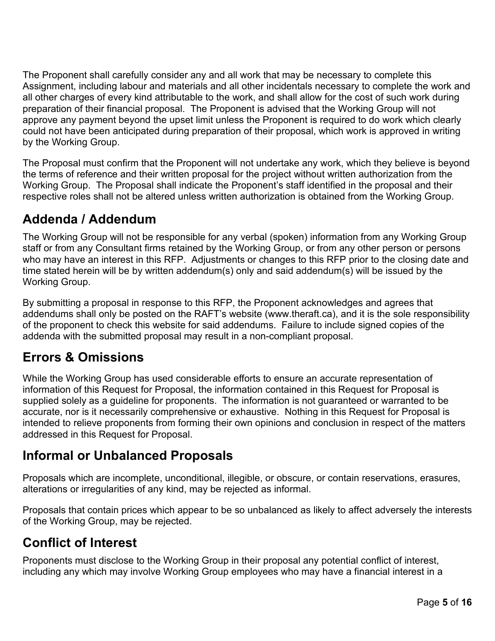The Proponent shall carefully consider any and all work that may be necessary to complete this Assignment, including labour and materials and all other incidentals necessary to complete the work and all other charges of every kind attributable to the work, and shall allow for the cost of such work during preparation of their financial proposal. The Proponent is advised that the Working Group will not approve any payment beyond the upset limit unless the Proponent is required to do work which clearly could not have been anticipated during preparation of their proposal, which work is approved in writing by the Working Group.

The Proposal must confirm that the Proponent will not undertake any work, which they believe is beyond the terms of reference and their written proposal for the project without written authorization from the Working Group. The Proposal shall indicate the Proponent's staff identified in the proposal and their respective roles shall not be altered unless written authorization is obtained from the Working Group.

### <span id="page-4-0"></span>**Addenda / Addendum**

The Working Group will not be responsible for any verbal (spoken) information from any Working Group staff or from any Consultant firms retained by the Working Group, or from any other person or persons who may have an interest in this RFP. Adjustments or changes to this RFP prior to the closing date and time stated herein will be by written addendum(s) only and said addendum(s) will be issued by the Working Group.

By submitting a proposal in response to this RFP, the Proponent acknowledges and agrees that addendums shall only be posted on the RAFT's website (www.theraft.ca), and it is the sole responsibility of the proponent to check this website for said addendums. Failure to include signed copies of the addenda with the submitted proposal may result in a non-compliant proposal.

### <span id="page-4-1"></span>**Errors & Omissions**

While the Working Group has used considerable efforts to ensure an accurate representation of information of this Request for Proposal, the information contained in this Request for Proposal is supplied solely as a guideline for proponents. The information is not guaranteed or warranted to be accurate, nor is it necessarily comprehensive or exhaustive. Nothing in this Request for Proposal is intended to relieve proponents from forming their own opinions and conclusion in respect of the matters addressed in this Request for Proposal.

### <span id="page-4-2"></span>**Informal or Unbalanced Proposals**

Proposals which are incomplete, unconditional, illegible, or obscure, or contain reservations, erasures, alterations or irregularities of any kind, may be rejected as informal.

Proposals that contain prices which appear to be so unbalanced as likely to affect adversely the interests of the Working Group, may be rejected.

### <span id="page-4-3"></span>**Conflict of Interest**

Proponents must disclose to the Working Group in their proposal any potential conflict of interest, including any which may involve Working Group employees who may have a financial interest in a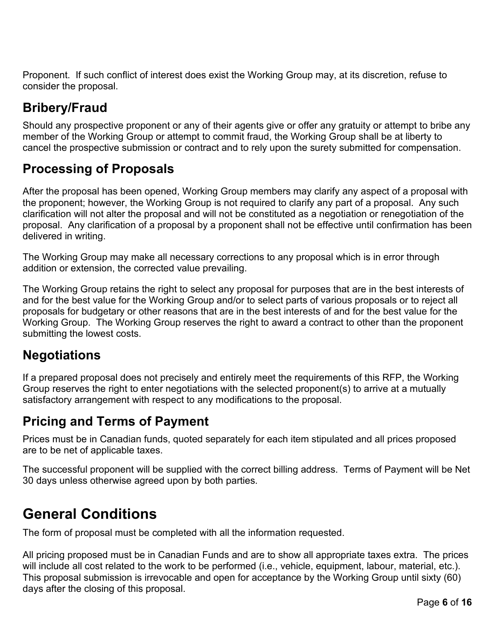Proponent. If such conflict of interest does exist the Working Group may, at its discretion, refuse to consider the proposal.

### <span id="page-5-0"></span>**Bribery/Fraud**

Should any prospective proponent or any of their agents give or offer any gratuity or attempt to bribe any member of the Working Group or attempt to commit fraud, the Working Group shall be at liberty to cancel the prospective submission or contract and to rely upon the surety submitted for compensation.

### <span id="page-5-1"></span>**Processing of Proposals**

After the proposal has been opened, Working Group members may clarify any aspect of a proposal with the proponent; however, the Working Group is not required to clarify any part of a proposal. Any such clarification will not alter the proposal and will not be constituted as a negotiation or renegotiation of the proposal. Any clarification of a proposal by a proponent shall not be effective until confirmation has been delivered in writing.

The Working Group may make all necessary corrections to any proposal which is in error through addition or extension, the corrected value prevailing.

The Working Group retains the right to select any proposal for purposes that are in the best interests of and for the best value for the Working Group and/or to select parts of various proposals or to reject all proposals for budgetary or other reasons that are in the best interests of and for the best value for the Working Group. The Working Group reserves the right to award a contract to other than the proponent submitting the lowest costs.

### <span id="page-5-2"></span>**Negotiations**

If a prepared proposal does not precisely and entirely meet the requirements of this RFP, the Working Group reserves the right to enter negotiations with the selected proponent(s) to arrive at a mutually satisfactory arrangement with respect to any modifications to the proposal.

### <span id="page-5-3"></span>**Pricing and Terms of Payment**

Prices must be in Canadian funds, quoted separately for each item stipulated and all prices proposed are to be net of applicable taxes.

The successful proponent will be supplied with the correct billing address. Terms of Payment will be Net 30 days unless otherwise agreed upon by both parties.

## <span id="page-5-4"></span>**General Conditions**

The form of proposal must be completed with all the information requested.

All pricing proposed must be in Canadian Funds and are to show all appropriate taxes extra. The prices will include all cost related to the work to be performed (i.e., vehicle, equipment, labour, material, etc.). This proposal submission is irrevocable and open for acceptance by the Working Group until sixty (60) days after the closing of this proposal.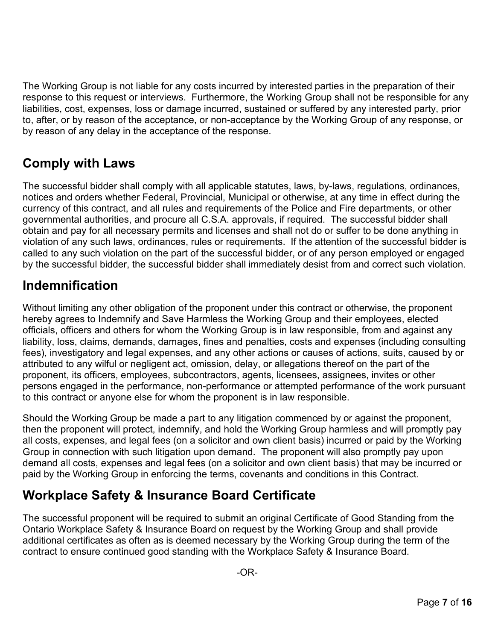The Working Group is not liable for any costs incurred by interested parties in the preparation of their response to this request or interviews. Furthermore, the Working Group shall not be responsible for any liabilities, cost, expenses, loss or damage incurred, sustained or suffered by any interested party, prior to, after, or by reason of the acceptance, or non-acceptance by the Working Group of any response, or by reason of any delay in the acceptance of the response.

### <span id="page-6-0"></span>**Comply with Laws**

The successful bidder shall comply with all applicable statutes, laws, by-laws, regulations, ordinances, notices and orders whether Federal, Provincial, Municipal or otherwise, at any time in effect during the currency of this contract, and all rules and requirements of the Police and Fire departments, or other governmental authorities, and procure all C.S.A. approvals, if required. The successful bidder shall obtain and pay for all necessary permits and licenses and shall not do or suffer to be done anything in violation of any such laws, ordinances, rules or requirements. If the attention of the successful bidder is called to any such violation on the part of the successful bidder, or of any person employed or engaged by the successful bidder, the successful bidder shall immediately desist from and correct such violation.

### <span id="page-6-1"></span>**Indemnification**

Without limiting any other obligation of the proponent under this contract or otherwise, the proponent hereby agrees to Indemnify and Save Harmless the Working Group and their employees, elected officials, officers and others for whom the Working Group is in law responsible, from and against any liability, loss, claims, demands, damages, fines and penalties, costs and expenses (including consulting fees), investigatory and legal expenses, and any other actions or causes of actions, suits, caused by or attributed to any wilful or negligent act, omission, delay, or allegations thereof on the part of the proponent, its officers, employees, subcontractors, agents, licensees, assignees, invites or other persons engaged in the performance, non-performance or attempted performance of the work pursuant to this contract or anyone else for whom the proponent is in law responsible.

Should the Working Group be made a part to any litigation commenced by or against the proponent, then the proponent will protect, indemnify, and hold the Working Group harmless and will promptly pay all costs, expenses, and legal fees (on a solicitor and own client basis) incurred or paid by the Working Group in connection with such litigation upon demand. The proponent will also promptly pay upon demand all costs, expenses and legal fees (on a solicitor and own client basis) that may be incurred or paid by the Working Group in enforcing the terms, covenants and conditions in this Contract.

### <span id="page-6-2"></span>**Workplace Safety & Insurance Board Certificate**

The successful proponent will be required to submit an original Certificate of Good Standing from the Ontario Workplace Safety & Insurance Board on request by the Working Group and shall provide additional certificates as often as is deemed necessary by the Working Group during the term of the contract to ensure continued good standing with the Workplace Safety & Insurance Board.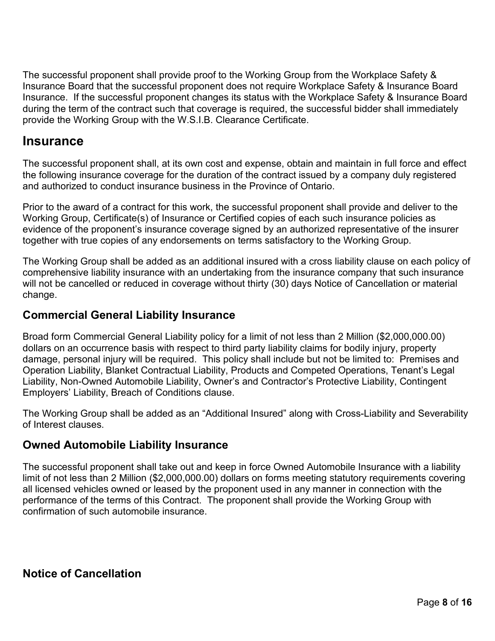The successful proponent shall provide proof to the Working Group from the Workplace Safety & Insurance Board that the successful proponent does not require Workplace Safety & Insurance Board Insurance. If the successful proponent changes its status with the Workplace Safety & Insurance Board during the term of the contract such that coverage is required, the successful bidder shall immediately provide the Working Group with the W.S.I.B. Clearance Certificate.

#### <span id="page-7-0"></span>**Insurance**

The successful proponent shall, at its own cost and expense, obtain and maintain in full force and effect the following insurance coverage for the duration of the contract issued by a company duly registered and authorized to conduct insurance business in the Province of Ontario.

Prior to the award of a contract for this work, the successful proponent shall provide and deliver to the Working Group, Certificate(s) of Insurance or Certified copies of each such insurance policies as evidence of the proponent's insurance coverage signed by an authorized representative of the insurer together with true copies of any endorsements on terms satisfactory to the Working Group.

The Working Group shall be added as an additional insured with a cross liability clause on each policy of comprehensive liability insurance with an undertaking from the insurance company that such insurance will not be cancelled or reduced in coverage without thirty (30) days Notice of Cancellation or material change.

#### **Commercial General Liability Insurance**

Broad form Commercial General Liability policy for a limit of not less than 2 Million (\$2,000,000.00) dollars on an occurrence basis with respect to third party liability claims for bodily injury, property damage, personal injury will be required. This policy shall include but not be limited to: Premises and Operation Liability, Blanket Contractual Liability, Products and Competed Operations, Tenant's Legal Liability, Non-Owned Automobile Liability, Owner's and Contractor's Protective Liability, Contingent Employers' Liability, Breach of Conditions clause.

The Working Group shall be added as an "Additional Insured" along with Cross-Liability and Severability of Interest clauses.

#### **Owned Automobile Liability Insurance**

The successful proponent shall take out and keep in force Owned Automobile Insurance with a liability limit of not less than 2 Million (\$2,000,000.00) dollars on forms meeting statutory requirements covering all licensed vehicles owned or leased by the proponent used in any manner in connection with the performance of the terms of this Contract. The proponent shall provide the Working Group with confirmation of such automobile insurance.

#### **Notice of Cancellation**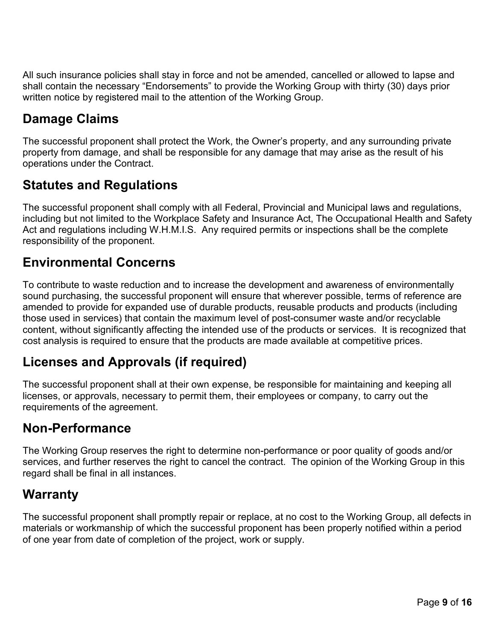All such insurance policies shall stay in force and not be amended, cancelled or allowed to lapse and shall contain the necessary "Endorsements" to provide the Working Group with thirty (30) days prior written notice by registered mail to the attention of the Working Group.

### <span id="page-8-0"></span>**Damage Claims**

The successful proponent shall protect the Work, the Owner's property, and any surrounding private property from damage, and shall be responsible for any damage that may arise as the result of his operations under the Contract.

### <span id="page-8-1"></span>**Statutes and Regulations**

The successful proponent shall comply with all Federal, Provincial and Municipal laws and regulations, including but not limited to the Workplace Safety and Insurance Act, The Occupational Health and Safety Act and regulations including W.H.M.I.S. Any required permits or inspections shall be the complete responsibility of the proponent.

### <span id="page-8-2"></span>**Environmental Concerns**

To contribute to waste reduction and to increase the development and awareness of environmentally sound purchasing, the successful proponent will ensure that wherever possible, terms of reference are amended to provide for expanded use of durable products, reusable products and products (including those used in services) that contain the maximum level of post-consumer waste and/or recyclable content, without significantly affecting the intended use of the products or services. It is recognized that cost analysis is required to ensure that the products are made available at competitive prices.

### <span id="page-8-3"></span>**Licenses and Approvals (if required)**

The successful proponent shall at their own expense, be responsible for maintaining and keeping all licenses, or approvals, necessary to permit them, their employees or company, to carry out the requirements of the agreement.

### <span id="page-8-4"></span>**Non-Performance**

The Working Group reserves the right to determine non-performance or poor quality of goods and/or services, and further reserves the right to cancel the contract. The opinion of the Working Group in this regard shall be final in all instances.

### <span id="page-8-5"></span>**Warranty**

The successful proponent shall promptly repair or replace, at no cost to the Working Group, all defects in materials or workmanship of which the successful proponent has been properly notified within a period of one year from date of completion of the project, work or supply.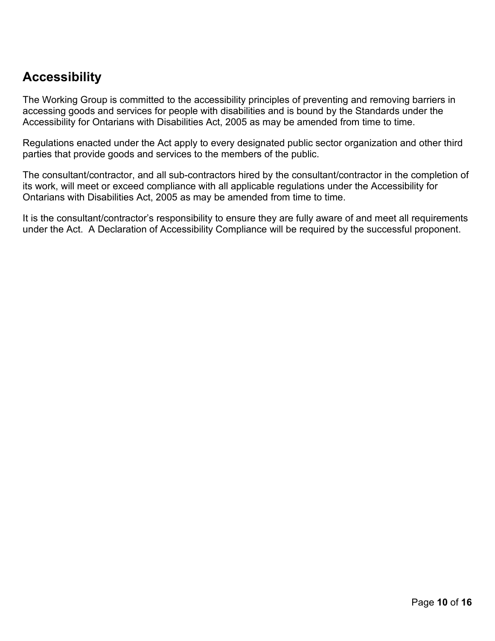### <span id="page-9-0"></span>**Accessibility**

The Working Group is committed to the accessibility principles of preventing and removing barriers in accessing goods and services for people with disabilities and is bound by the Standards under the Accessibility for Ontarians with Disabilities Act, 2005 as may be amended from time to time.

Regulations enacted under the Act apply to every designated public sector organization and other third parties that provide goods and services to the members of the public.

The consultant/contractor, and all sub-contractors hired by the consultant/contractor in the completion of its work, will meet or exceed compliance with all applicable regulations under the Accessibility for Ontarians with Disabilities Act, 2005 as may be amended from time to time.

It is the consultant/contractor's responsibility to ensure they are fully aware of and meet all requirements under the Act. A Declaration of Accessibility Compliance will be required by the successful proponent.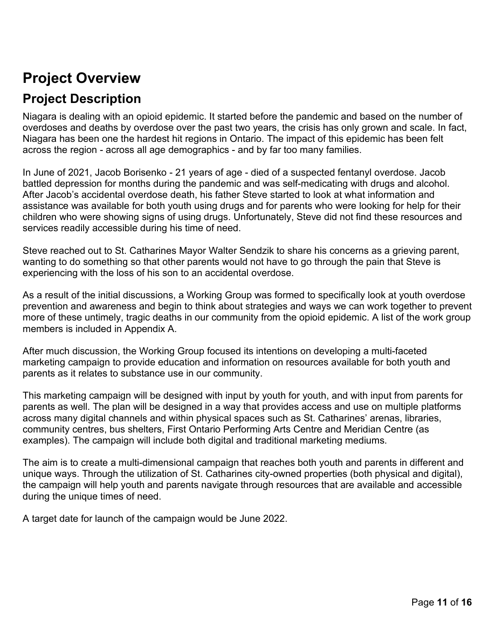## <span id="page-10-0"></span>**Project Overview**

### **Project Description**

Niagara is dealing with an opioid epidemic. It started before the pandemic and based on the number of overdoses and deaths by overdose over the past two years, the crisis has only grown and scale. In fact, Niagara has been one the hardest hit regions in Ontario. The impact of this epidemic has been felt across the region - across all age demographics - and by far too many families.

In June of 2021, Jacob Borisenko - 21 years of age - died of a suspected fentanyl overdose. Jacob battled depression for months during the pandemic and was self-medicating with drugs and alcohol. After Jacob's accidental overdose death, his father Steve started to look at what information and assistance was available for both youth using drugs and for parents who were looking for help for their children who were showing signs of using drugs. Unfortunately, Steve did not find these resources and services readily accessible during his time of need.

Steve reached out to St. Catharines Mayor Walter Sendzik to share his concerns as a grieving parent, wanting to do something so that other parents would not have to go through the pain that Steve is experiencing with the loss of his son to an accidental overdose.

As a result of the initial discussions, a Working Group was formed to specifically look at youth overdose prevention and awareness and begin to think about strategies and ways we can work together to prevent more of these untimely, tragic deaths in our community from the opioid epidemic. A list of the work group members is included in Appendix A.

After much discussion, the Working Group focused its intentions on developing a multi-faceted marketing campaign to provide education and information on resources available for both youth and parents as it relates to substance use in our community.

This marketing campaign will be designed with input by youth for youth, and with input from parents for parents as well. The plan will be designed in a way that provides access and use on multiple platforms across many digital channels and within physical spaces such as St. Catharines' arenas, libraries, community centres, bus shelters, First Ontario Performing Arts Centre and Meridian Centre (as examples). The campaign will include both digital and traditional marketing mediums.

The aim is to create a multi-dimensional campaign that reaches both youth and parents in different and unique ways. Through the utilization of St. Catharines city-owned properties (both physical and digital), the campaign will help youth and parents navigate through resources that are available and accessible during the unique times of need.

A target date for launch of the campaign would be June 2022.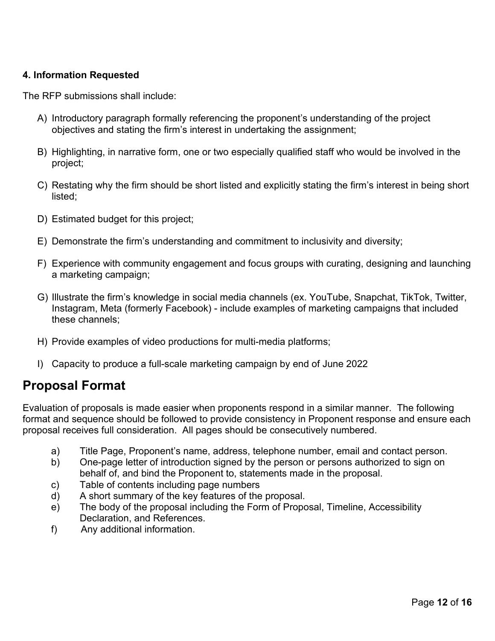#### **4. Information Requested**

The RFP submissions shall include:

- A) Introductory paragraph formally referencing the proponent's understanding of the project objectives and stating the firm's interest in undertaking the assignment;
- B) Highlighting, in narrative form, one or two especially qualified staff who would be involved in the project;
- C) Restating why the firm should be short listed and explicitly stating the firm's interest in being short listed;
- D) Estimated budget for this project;
- E) Demonstrate the firm's understanding and commitment to inclusivity and diversity;
- F) Experience with community engagement and focus groups with curating, designing and launching a marketing campaign;
- G) Illustrate the firm's knowledge in social media channels (ex. YouTube, Snapchat, TikTok, Twitter, Instagram, Meta (formerly Facebook) - include examples of marketing campaigns that included these channels;
- H) Provide examples of video productions for multi-media platforms;
- I) Capacity to produce a full-scale marketing campaign by end of June 2022

#### <span id="page-11-0"></span>**Proposal Format**

Evaluation of proposals is made easier when proponents respond in a similar manner. The following format and sequence should be followed to provide consistency in Proponent response and ensure each proposal receives full consideration. All pages should be consecutively numbered.

- a) Title Page, Proponent's name, address, telephone number, email and contact person.
- b) One-page letter of introduction signed by the person or persons authorized to sign on behalf of, and bind the Proponent to, statements made in the proposal.
- c) Table of contents including page numbers
- d) A short summary of the key features of the proposal.
- e) The body of the proposal including the Form of Proposal, Timeline, Accessibility Declaration, and References.
- f) Any additional information.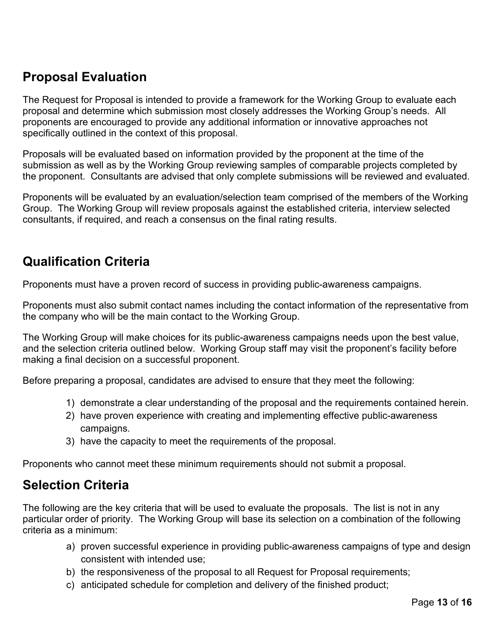### <span id="page-12-0"></span>**Proposal Evaluation**

The Request for Proposal is intended to provide a framework for the Working Group to evaluate each proposal and determine which submission most closely addresses the Working Group's needs. All proponents are encouraged to provide any additional information or innovative approaches not specifically outlined in the context of this proposal.

Proposals will be evaluated based on information provided by the proponent at the time of the submission as well as by the Working Group reviewing samples of comparable projects completed by the proponent. Consultants are advised that only complete submissions will be reviewed and evaluated.

Proponents will be evaluated by an evaluation/selection team comprised of the members of the Working Group. The Working Group will review proposals against the established criteria, interview selected consultants, if required, and reach a consensus on the final rating results.

### <span id="page-12-1"></span>**Qualification Criteria**

Proponents must have a proven record of success in providing public-awareness campaigns.

Proponents must also submit contact names including the contact information of the representative from the company who will be the main contact to the Working Group.

The Working Group will make choices for its public-awareness campaigns needs upon the best value, and the selection criteria outlined below. Working Group staff may visit the proponent's facility before making a final decision on a successful proponent.

Before preparing a proposal, candidates are advised to ensure that they meet the following:

- 1) demonstrate a clear understanding of the proposal and the requirements contained herein.
- 2) have proven experience with creating and implementing effective public-awareness campaigns.
- 3) have the capacity to meet the requirements of the proposal.

Proponents who cannot meet these minimum requirements should not submit a proposal.

### <span id="page-12-2"></span>**Selection Criteria**

The following are the key criteria that will be used to evaluate the proposals. The list is not in any particular order of priority. The Working Group will base its selection on a combination of the following criteria as a minimum:

- a) proven successful experience in providing public-awareness campaigns of type and design consistent with intended use;
- b) the responsiveness of the proposal to all Request for Proposal requirements;
- c) anticipated schedule for completion and delivery of the finished product;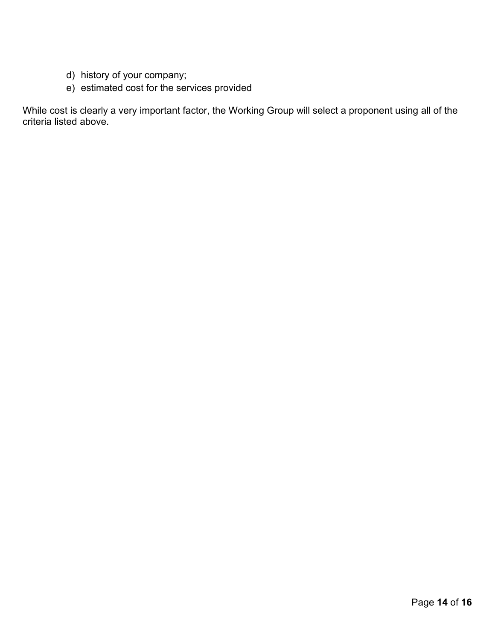- d) history of your company;
- e) estimated cost for the services provided

While cost is clearly a very important factor, the Working Group will select a proponent using all of the criteria listed above.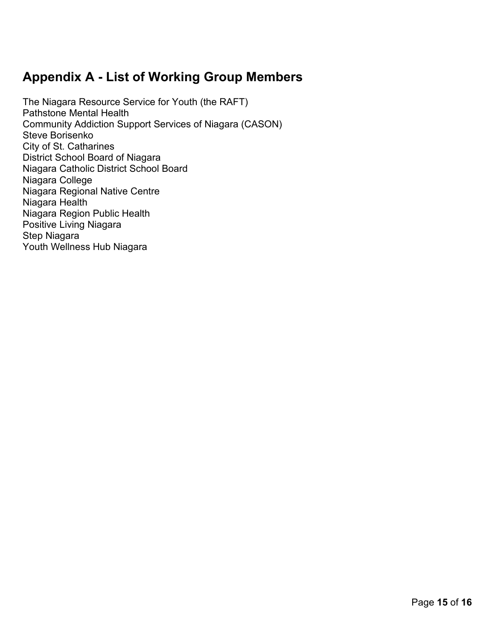### **Appendix A - List of Working Group Members**

The Niagara Resource Service for Youth (the RAFT) Pathstone Mental Health Community Addiction Support Services of Niagara (CASON) Steve Borisenko City of St. Catharines District School Board of Niagara Niagara Catholic District School Board Niagara College Niagara Regional Native Centre Niagara Health Niagara Region Public Health Positive Living Niagara Step Niagara Youth Wellness Hub Niagara